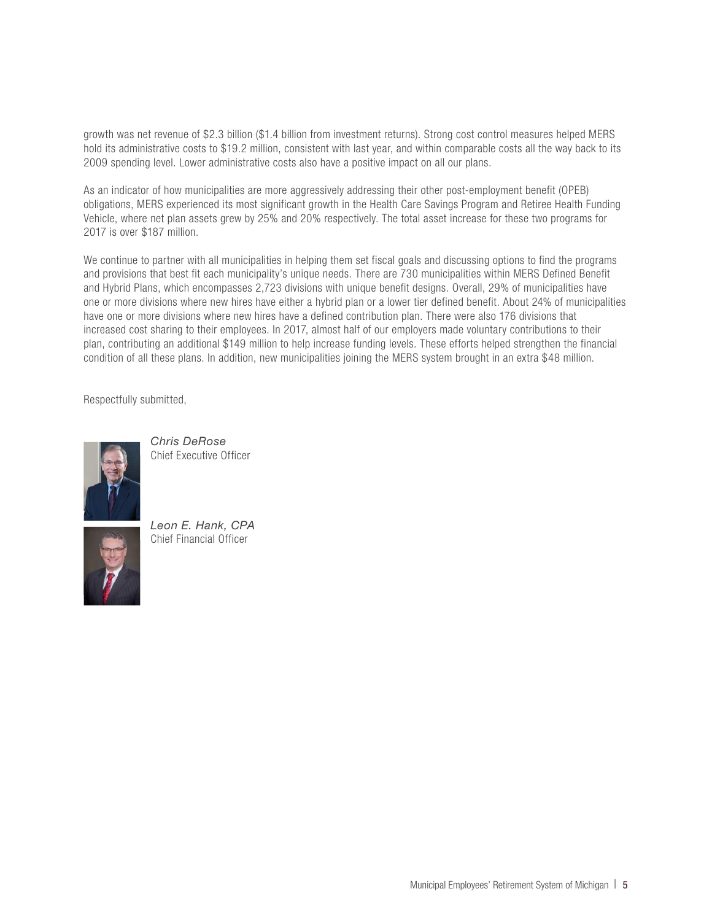growth was net revenue of \$2.3 billion (\$1.4 billion from investment returns). Strong cost control measures helped MERS hold its administrative costs to \$19.2 million, consistent with last year, and within comparable costs all the way back to its 2009 spending level. Lower administrative costs also have a positive impact on all our plans.

As an indicator of how municipalities are more aggressively addressing their other post-employment benefit (OPEB) obligations, MERS experienced its most significant growth in the Health Care Savings Program and Retiree Health Funding Vehicle, where net plan assets grew by 25% and 20% respectively. The total asset increase for these two programs for 2017 is over \$187 million.

We continue to partner with all municipalities in helping them set fiscal goals and discussing options to find the programs and provisions that best fit each municipality's unique needs. There are 730 municipalities within MERS Defined Benefit and Hybrid Plans, which encompasses 2,723 divisions with unique benefit designs. Overall, 29% of municipalities have one or more divisions where new hires have either a hybrid plan or a lower tier defined benefit. About 24% of municipalities have one or more divisions where new hires have a defined contribution plan. There were also 176 divisions that increased cost sharing to their employees. In 2017, almost half of our employers made voluntary contributions to their plan, contributing an additional \$149 million to help increase funding levels. These efforts helped strengthen the financial condition of all these plans. In addition, new municipalities joining the MERS system brought in an extra \$48 million.

Respectfully submitted,



*Chris DeRose* Chief Executive Officer



*Leon E. Hank, CPA* Chief Financial Officer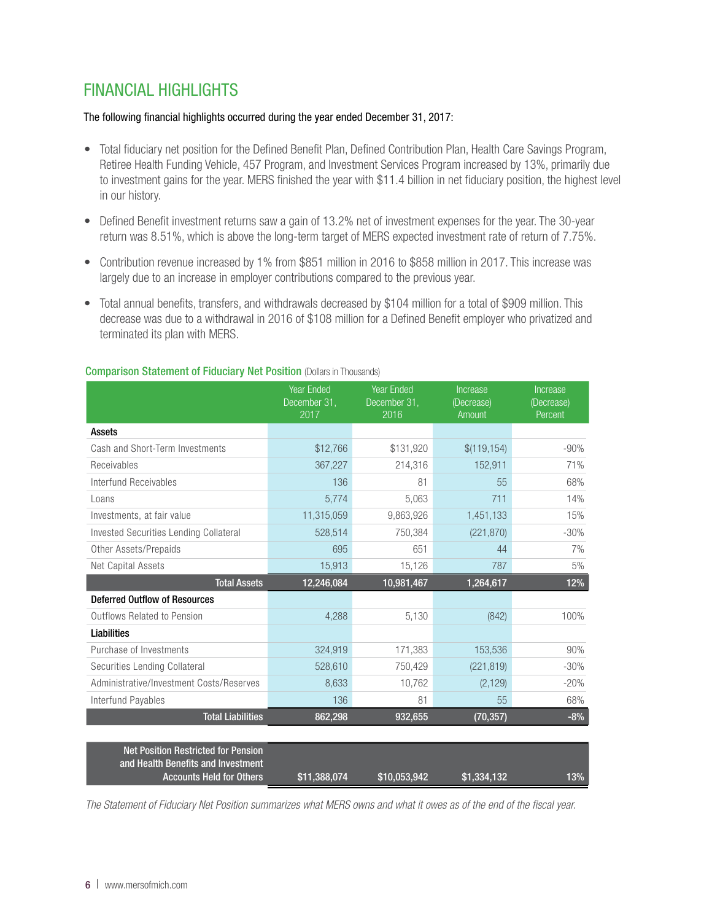## FINANCIAL HIGHLIGHTS

### The following financial highlights occurred during the year ended December 31, 2017:

- Total fiduciary net position for the Defined Benefit Plan, Defined Contribution Plan, Health Care Savings Program, Retiree Health Funding Vehicle, 457 Program, and Investment Services Program increased by 13%, primarily due to investment gains for the year. MERS finished the year with \$11.4 billion in net fiduciary position, the highest level in our history.
- Defined Benefit investment returns saw a gain of 13.2% net of investment expenses for the year. The 30-year return was 8.51%, which is above the long-term target of MERS expected investment rate of return of 7.75%.
- Contribution revenue increased by 1% from \$851 million in 2016 to \$858 million in 2017. This increase was largely due to an increase in employer contributions compared to the previous year.
- Total annual benefits, transfers, and withdrawals decreased by \$104 million for a total of \$909 million. This decrease was due to a withdrawal in 2016 of \$108 million for a Defined Benefit employer who privatized and terminated its plan with MERS.

|                                                                                                                     | <b>Year Ended</b><br>December 31,<br>2017 | <b>Year Ended</b><br>December 31,<br>2016 | Increase<br>(Decrease)<br>Amount | Increase<br>(Decrease)<br>Percent |
|---------------------------------------------------------------------------------------------------------------------|-------------------------------------------|-------------------------------------------|----------------------------------|-----------------------------------|
| Assets                                                                                                              |                                           |                                           |                                  |                                   |
| Cash and Short-Term Investments                                                                                     | \$12,766                                  | \$131,920                                 | \$(119, 154)                     | $-90%$                            |
| Receivables                                                                                                         | 367,227                                   | 214,316                                   | 152,911                          | 71%                               |
| Interfund Receivables                                                                                               | 136                                       | 81                                        | 55                               | 68%                               |
| Loans                                                                                                               | 5,774                                     | 5,063                                     | 711                              | 14%                               |
| Investments, at fair value                                                                                          | 11,315,059                                | 9,863,926                                 | 1,451,133                        | 15%                               |
| <b>Invested Securities Lending Collateral</b>                                                                       | 528,514                                   | 750,384                                   | (221, 870)                       | $-30%$                            |
| Other Assets/Prepaids                                                                                               | 695                                       | 651                                       | 44                               | 7%                                |
| Net Capital Assets                                                                                                  | 15,913                                    | 15,126                                    | 787                              | 5%                                |
| <b>Total Assets</b>                                                                                                 | 12,246,084                                | 10,981,467                                | 1,264,617                        | 12%                               |
| <b>Deferred Outflow of Resources</b>                                                                                |                                           |                                           |                                  |                                   |
| Outflows Related to Pension                                                                                         | 4,288                                     | 5,130                                     | (842)                            | 100%                              |
| Liabilities                                                                                                         |                                           |                                           |                                  |                                   |
| Purchase of Investments                                                                                             | 324,919                                   | 171,383                                   | 153,536                          | 90%                               |
| Securities Lending Collateral                                                                                       | 528,610                                   | 750,429                                   | (221, 819)                       | $-30%$                            |
| Administrative/Investment Costs/Reserves                                                                            | 8,633                                     | 10,762                                    | (2, 129)                         | $-20%$                            |
| Interfund Payables                                                                                                  | 136                                       | 81                                        | 55                               | 68%                               |
| <b>Total Liabilities</b>                                                                                            | 862,298                                   | 932,655                                   | (70, 357)                        | $-8%$                             |
|                                                                                                                     |                                           |                                           |                                  |                                   |
| <b>Net Position Restricted for Pension</b><br>and Health Benefits and Investment<br><b>Accounts Held for Others</b> | \$11,388,074                              | \$10,053,942                              | \$1,334,132                      | 13%                               |

#### **Comparison Statement of Fiduciary Net Position (Dollars in Thousands)**

*The Statement of Fiduciary Net Position summarizes what MERS owns and what it owes as of the end of the fiscal year.*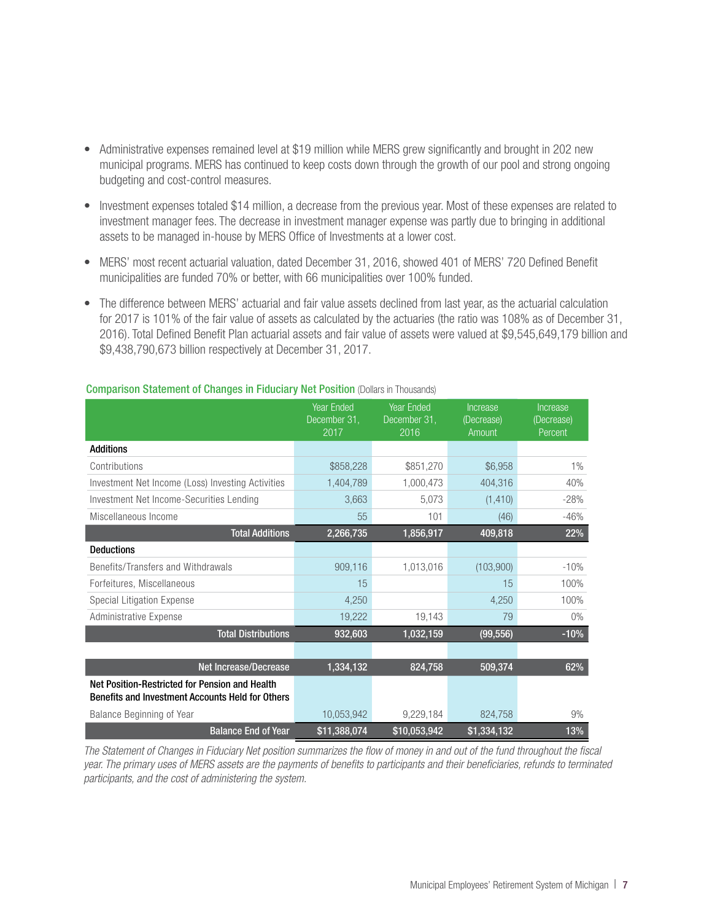- Administrative expenses remained level at \$19 million while MERS grew significantly and brought in 202 new municipal programs. MERS has continued to keep costs down through the growth of our pool and strong ongoing budgeting and cost-control measures.
- Investment expenses totaled \$14 million, a decrease from the previous year. Most of these expenses are related to investment manager fees. The decrease in investment manager expense was partly due to bringing in additional assets to be managed in-house by MERS Office of Investments at a lower cost.
- MERS' most recent actuarial valuation, dated December 31, 2016, showed 401 of MERS' 720 Defined Benefit municipalities are funded 70% or better, with 66 municipalities over 100% funded.
- The difference between MERS' actuarial and fair value assets declined from last year, as the actuarial calculation for 2017 is 101% of the fair value of assets as calculated by the actuaries (the ratio was 108% as of December 31, 2016). Total Defined Benefit Plan actuarial assets and fair value of assets were valued at \$9,545,649,179 billion and \$9,438,790,673 billion respectively at December 31, 2017.

|                                                                                                           | <b>Year Ended</b><br>December 31,<br>2017 | <b>Year Ended</b><br>December 31,<br>2016 | Increase<br>(Decrease)<br>Amount | Increase<br>(Decrease)<br>Percent |
|-----------------------------------------------------------------------------------------------------------|-------------------------------------------|-------------------------------------------|----------------------------------|-----------------------------------|
| <b>Additions</b>                                                                                          |                                           |                                           |                                  |                                   |
| Contributions                                                                                             | \$858,228                                 | \$851,270                                 | \$6,958                          | $1\%$                             |
| Investment Net Income (Loss) Investing Activities                                                         | 1,404,789                                 | 1,000,473                                 | 404,316                          | 40%                               |
| Investment Net Income-Securities Lending                                                                  | 3,663                                     | 5,073                                     | (1, 410)                         | $-28%$                            |
| Miscellaneous Income                                                                                      | 55                                        | 101                                       | (46)                             | $-46%$                            |
| <b>Total Additions</b>                                                                                    | 2,266,735                                 | 1,856,917                                 | 409,818                          | 22%                               |
| <b>Deductions</b>                                                                                         |                                           |                                           |                                  |                                   |
| Benefits/Transfers and Withdrawals                                                                        | 909,116                                   | 1,013,016                                 | (103,900)                        | $-10%$                            |
| Forfeitures, Miscellaneous                                                                                | 15                                        |                                           | 15                               | 100%                              |
| Special Litigation Expense                                                                                | 4,250                                     |                                           | 4,250                            | 100%                              |
| Administrative Expense                                                                                    | 19,222                                    | 19,143                                    | 79                               | $0\%$                             |
| <b>Total Distributions</b>                                                                                | 932,603                                   | 1,032,159                                 | (99, 556)                        | $-10%$                            |
|                                                                                                           |                                           |                                           |                                  |                                   |
| <b>Net Increase/Decrease</b>                                                                              | 1,334,132                                 | 824,758                                   | 509,374                          | 62%                               |
| Net Position-Restricted for Pension and Health<br><b>Benefits and Investment Accounts Held for Others</b> |                                           |                                           |                                  |                                   |
| Balance Beginning of Year                                                                                 | 10,053,942                                | 9,229,184                                 | 824,758                          | 9%                                |
| <b>Balance End of Year</b>                                                                                | \$11,388,074                              | \$10,053,942                              | \$1,334,132                      | 13%                               |

#### Comparison Statement of Changes in Fiduciary Net Position (Dollars in Thousands)

*The Statement of Changes in Fiduciary Net position summarizes the flow of money in and out of the fund throughout the fiscal year. The primary uses of MERS assets are the payments of benefits to participants and their beneficiaries, refunds to terminated participants, and the cost of administering the system.*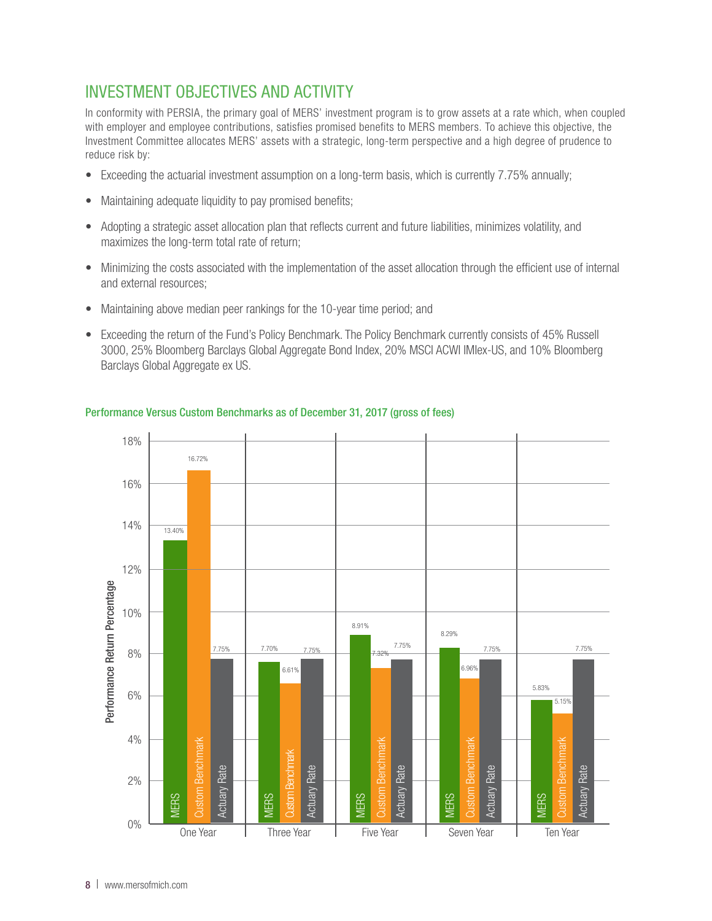## INVESTMENT OBJECTIVES AND ACTIVITY

In conformity with PERSIA, the primary goal of MERS' investment program is to grow assets at a rate which, when coupled with employer and employee contributions, satisfies promised benefits to MERS members. To achieve this objective, the Investment Committee allocates MERS' assets with a strategic, long-term perspective and a high degree of prudence to reduce risk by:

- Exceeding the actuarial investment assumption on a long-term basis, which is currently 7.75% annually;
- Maintaining adequate liquidity to pay promised benefits;
- Adopting a strategic asset allocation plan that reflects current and future liabilities, minimizes volatility, and maximizes the long-term total rate of return;
- Minimizing the costs associated with the implementation of the asset allocation through the efficient use of internal and external resources;
- Maintaining above median peer rankings for the 10-year time period; and
- Exceeding the return of the Fund's Policy Benchmark. The Policy Benchmark currently consists of 45% Russell 3000, 25% Bloomberg Barclays Global Aggregate Bond Index, 20% MSCI ACWI IMIex-US, and 10% Bloomberg Barclays Global Aggregate ex US.



### Performance Versus Custom Benchmarks as of December 31, 2017 (gross of fees)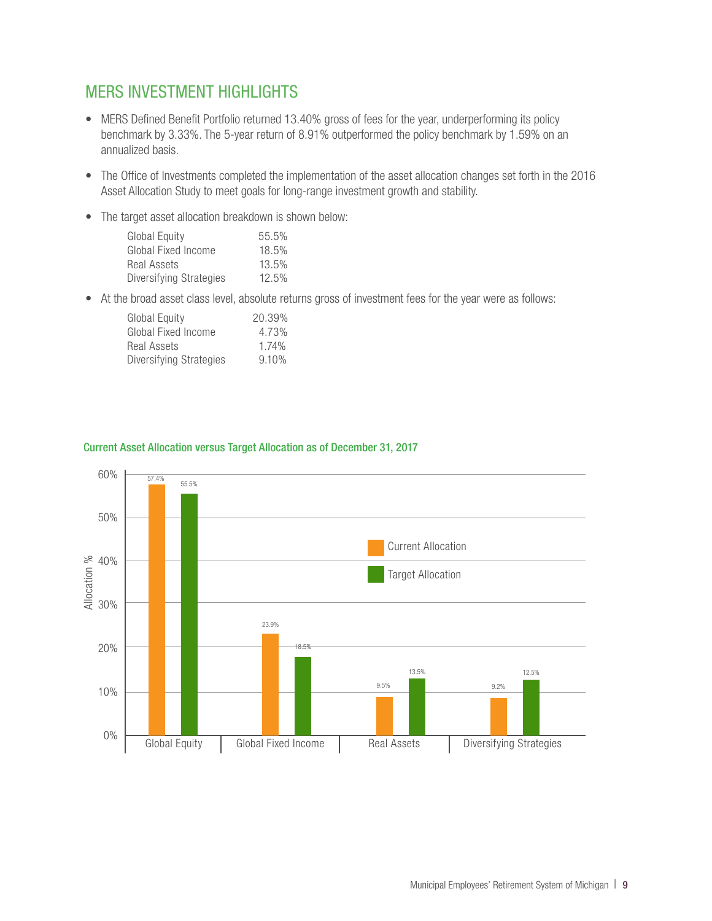## MERS INVESTMENT HIGHLIGHTS

- MERS Defined Benefit Portfolio returned 13.40% gross of fees for the year, underperforming its policy benchmark by 3.33%. The 5-year return of 8.91% outperformed the policy benchmark by 1.59% on an annualized basis.
- The Office of Investments completed the implementation of the asset allocation changes set forth in the 2016 Asset Allocation Study to meet goals for long-range investment growth and stability.
- The target asset allocation breakdown is shown below:

| Global Equity           | 55.5% |
|-------------------------|-------|
| Global Fixed Income     | 18.5% |
| Real Assets             | 13.5% |
| Diversifying Strategies | 12.5% |

• At the broad asset class level, absolute returns gross of investment fees for the year were as follows:

| <b>Global Equity</b>    | 20.39% |
|-------------------------|--------|
| Global Fixed Income     | 4.73%  |
| Real Assets             | 1.74%  |
| Diversifying Strategies | 9.10%  |



#### Current Asset Allocation versus Target Allocation as of December 31, 2017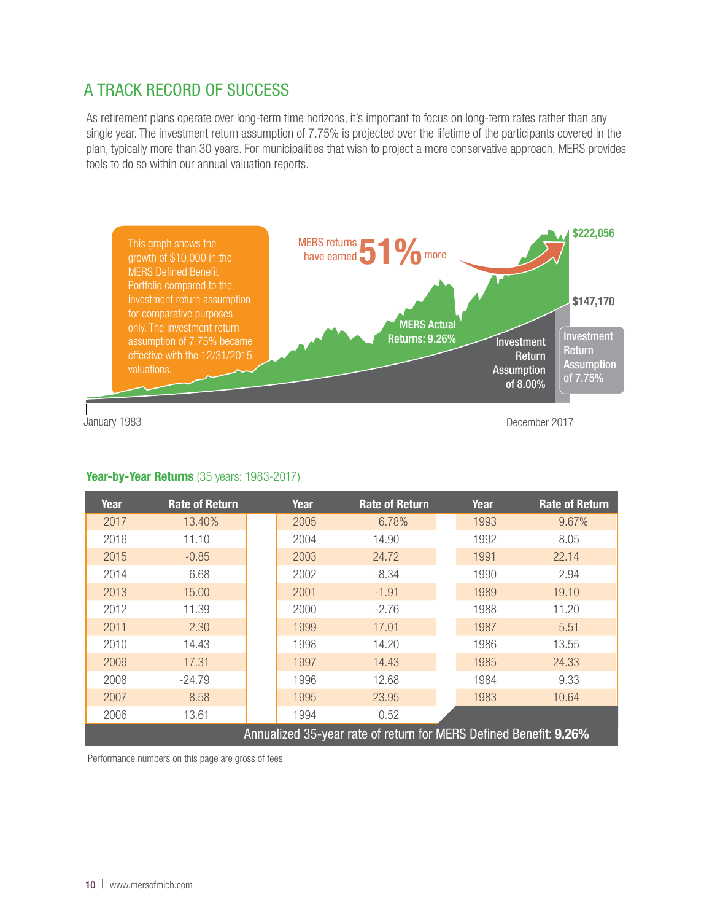# A TRACK RECORD OF SUCCESS

As retirement plans operate over long-term time horizons, it's important to focus on long-term rates rather than any single year. The investment return assumption of 7.75% is projected over the lifetime of the participants covered in the plan, typically more than 30 years. For municipalities that wish to project a more conservative approach, MERS provides tools to do so within our annual valuation reports.



### Year-by-Year Returns (35 years: 1983-2017)

| Year                                                              | <b>Rate of Return</b> |  | Year | <b>Rate of Return</b> |  | Year | <b>Rate of Return</b> |
|-------------------------------------------------------------------|-----------------------|--|------|-----------------------|--|------|-----------------------|
| 2017                                                              | 13.40%                |  | 2005 | 6.78%                 |  | 1993 | 9.67%                 |
| 2016                                                              | 11.10                 |  | 2004 | 14.90                 |  | 1992 | 8.05                  |
| 2015                                                              | $-0.85$               |  | 2003 | 24.72                 |  | 1991 | 22.14                 |
| 2014                                                              | 6.68                  |  | 2002 | $-8.34$               |  | 1990 | 2.94                  |
| 2013                                                              | 15.00                 |  | 2001 | $-1.91$               |  | 1989 | 19.10                 |
| 2012                                                              | 11.39                 |  | 2000 | $-2.76$               |  | 1988 | 11.20                 |
| 2011                                                              | 2.30                  |  | 1999 | 17.01                 |  | 1987 | 5.51                  |
| 2010                                                              | 14.43                 |  | 1998 | 14.20                 |  | 1986 | 13.55                 |
| 2009                                                              | 17.31                 |  | 1997 | 14.43                 |  | 1985 | 24.33                 |
| 2008                                                              | $-24.79$              |  | 1996 | 12.68                 |  | 1984 | 9.33                  |
| 2007                                                              | 8.58                  |  | 1995 | 23.95                 |  | 1983 | 10.64                 |
| 2006                                                              | 13.61                 |  | 1994 | 0.52                  |  |      |                       |
| Annualized 35-year rate of return for MERS Defined Benefit: 9.26% |                       |  |      |                       |  |      |                       |

Performance numbers on this page are gross of fees.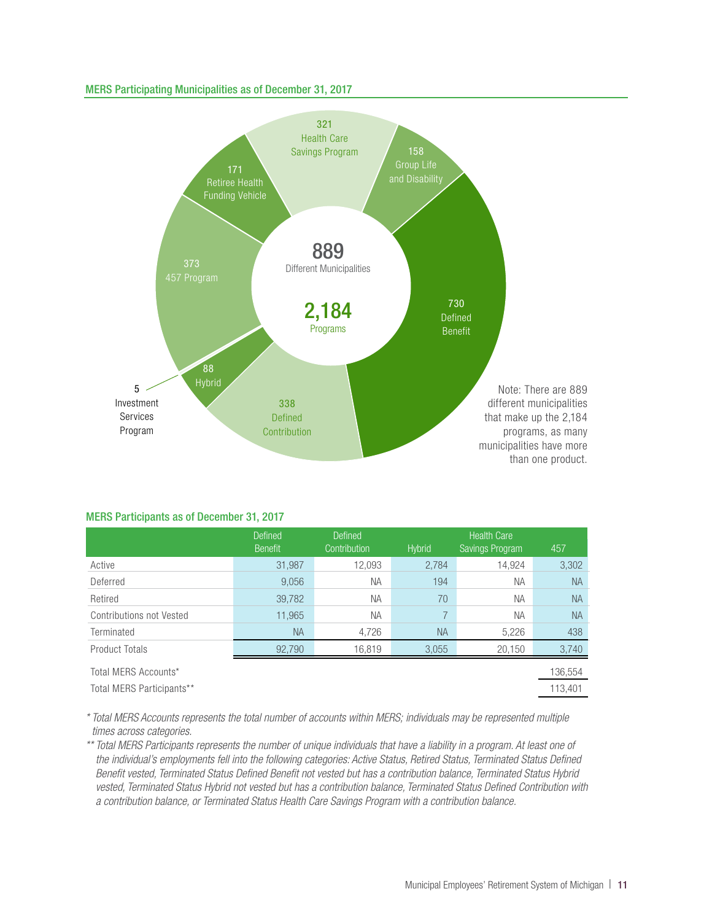#### MERS Participating Municipalities as of December 31, 2017



#### MERS Participants as of December 31, 2017

|                           | <b>Defined</b><br><b>Benefit</b> | Defined<br>Contribution | <b>Hybrid</b> | <b>Health Care</b><br>Savings Program | 457       |
|---------------------------|----------------------------------|-------------------------|---------------|---------------------------------------|-----------|
| Active                    | 31,987                           | 12,093                  | 2,784         | 14,924                                | 3,302     |
| Deferred                  | 9,056                            | <b>NA</b>               | 194           | <b>NA</b>                             | <b>NA</b> |
| Retired                   | 39,782                           | <b>NA</b>               | 70            | <b>NA</b>                             | <b>NA</b> |
| Contributions not Vested  | 11,965                           | <b>NA</b>               | 7             | <b>NA</b>                             | <b>NA</b> |
| Terminated                | <b>NA</b>                        | 4,726                   | <b>NA</b>     | 5,226                                 | 438       |
| Product Totals            | 92,790                           | 16,819                  | 3,055         | 20,150                                | 3,740     |
| Total MERS Accounts*      |                                  |                         |               |                                       | 136,554   |
| Total MERS Participants** |                                  |                         |               |                                       | 113.401   |

*\* Total MERS Accounts represents the total number of accounts within MERS; individuals may be represented multiple times across categories.* 

*\*\* Total MERS Participants represents the number of unique individuals that have a liability in a program. At least one of the individual's employments fell into the following categories: Active Status, Retired Status, Terminated Status Defined Benefit vested, Terminated Status Defined Benefit not vested but has a contribution balance, Terminated Status Hybrid vested, Terminated Status Hybrid not vested but has a contribution balance, Terminated Status Defined Contribution with a contribution balance, or Terminated Status Health Care Savings Program with a contribution balance.*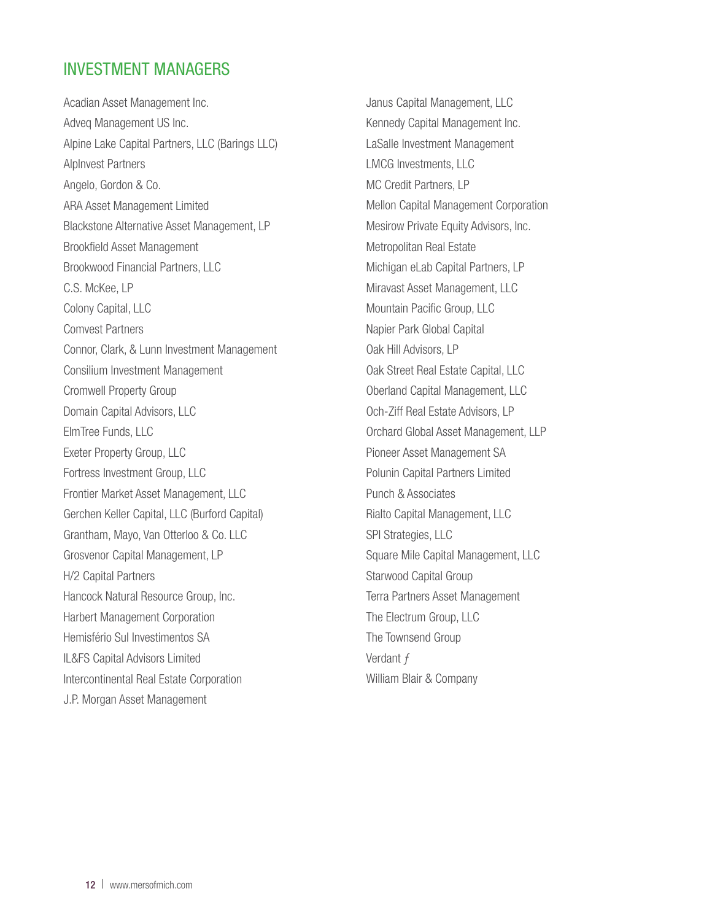### INVESTMENT MANAGERS

Acadian Asset Management Inc. Adveq Management US Inc. Alpine Lake Capital Partners, LLC (Barings LLC) AlpInvest Partners Angelo, Gordon & Co. ARA Asset Management Limited Blackstone Alternative Asset Management, LP Brookfield Asset Management Brookwood Financial Partners, LLC C.S. McKee, LP Colony Capital, LLC Comvest Partners Connor, Clark, & Lunn Investment Management Consilium Investment Management Cromwell Property Group Domain Capital Advisors, LLC ElmTree Funds, LLC Exeter Property Group, LLC Fortress Investment Group, LLC Frontier Market Asset Management, LLC Gerchen Keller Capital, LLC (Burford Capital) Grantham, Mayo, Van Otterloo & Co. LLC Grosvenor Capital Management, LP H/2 Capital Partners Hancock Natural Resource Group, Inc. Harbert Management Corporation Hemisfério Sul Investimentos SA IL&FS Capital Advisors Limited Intercontinental Real Estate Corporation J.P. Morgan Asset Management

Janus Capital Management, LLC Kennedy Capital Management Inc. LaSalle Investment Management LMCG Investments, LLC MC Credit Partners, LP Mellon Capital Management Corporation Mesirow Private Equity Advisors, Inc. Metropolitan Real Estate Michigan eLab Capital Partners, LP Miravast Asset Management, LLC Mountain Pacific Group, LLC Napier Park Global Capital Oak Hill Advisors, LP Oak Street Real Estate Capital, LLC Oberland Capital Management, LLC Och-Ziff Real Estate Advisors, LP Orchard Global Asset Management, LLP Pioneer Asset Management SA Polunin Capital Partners Limited Punch & Associates Rialto Capital Management, LLC SPI Strategies, LLC Square Mile Capital Management, LLC Starwood Capital Group Terra Partners Asset Management The Electrum Group, LLC The Townsend Group Verdant f William Blair & Company